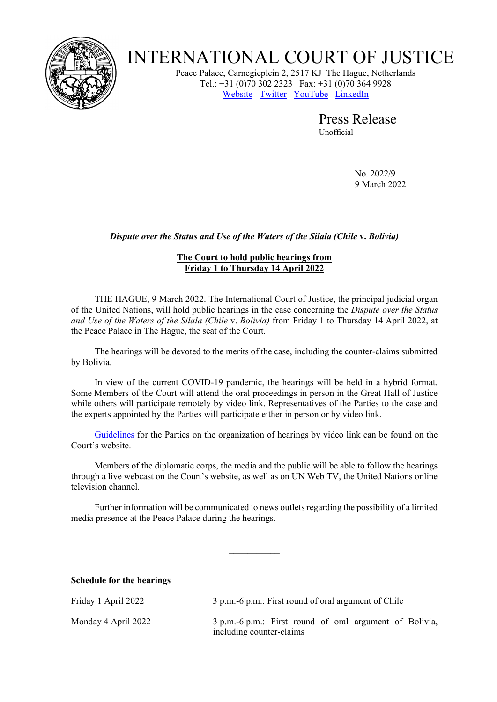

# INTERNATIONAL COURT OF JUSTICE

Peace Palace, Carnegieplein 2, 2517 KJ The Hague, Netherlands Tel.: +31 (0)70 302 2323 Fax: +31 (0)70 364 9928 [Website](https://www.icj-cij.org/) [Twitter](https://twitter.com/CIJ_ICJ) [YouTube](https://www.youtube.com/channel/UC28oiS6IwkVvWL7kLH1-QPg?app=desktop) [LinkedIn](https://www.linkedin.com/company/cour-internationale-de-justice-international-court-of-justice) 

> Press Release Unofficial

> > No. 2022/9 9 March 2022

## *Dispute over the Status and Use of the Waters of the Silala (Chile* **v.** *Bolivia)*

## **The Court to hold public hearings from Friday 1 to Thursday 14 April 2022**

THE HAGUE, 9 March 2022. The International Court of Justice, the principal judicial organ of the United Nations, will hold public hearings in the case concerning the *Dispute over the Status and Use of the Waters of the Silala (Chile* v. *Bolivia)* from Friday 1 to Thursday 14 April 2022, at the Peace Palace in The Hague, the seat of the Court.

The hearings will be devoted to the merits of the case, including the counter-claims submitted by Bolivia.

In view of the current COVID-19 pandemic, the hearings will be held in a hybrid format. Some Members of the Court will attend the oral proceedings in person in the Great Hall of Justice while others will participate remotely by video link. Representatives of the Parties to the case and the experts appointed by the Parties will participate either in person or by video link.

[Guidelines](https://www.icj-cij.org/en/other-texts/guidelines-videolink) for the Parties on the organization of hearings by video link can be found on the Court's website.

Members of the diplomatic corps, the media and the public will be able to follow the hearings through a live webcast on the Court's website, as well as on UN Web TV, the United Nations online television channel.

Further information will be communicated to news outlets regarding the possibility of a limited media presence at the Peace Palace during the hearings.

 $\frac{1}{2}$ 

#### **Schedule for the hearings**

| Friday 1 April 2022 | 3 p.m. -6 p.m.: First round of oral argument of Chile                               |
|---------------------|-------------------------------------------------------------------------------------|
| Monday 4 April 2022 | 3 p.m.-6 p.m.: First round of oral argument of Bolivia,<br>including counter-claims |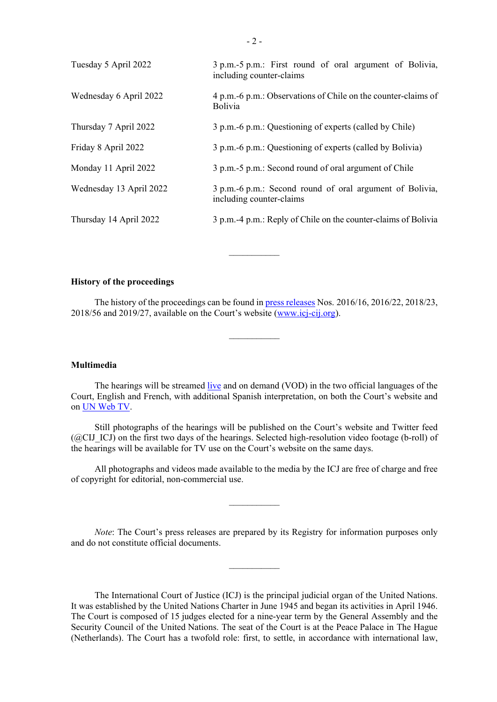| Tuesday 5 April 2022    | 3 p.m.-5 p.m.: First round of oral argument of Bolivia,<br>including counter-claims  |
|-------------------------|--------------------------------------------------------------------------------------|
| Wednesday 6 April 2022  | 4 p.m. -6 p.m.: Observations of Chile on the counter-claims of<br><b>Bolivia</b>     |
| Thursday 7 April 2022   | 3 p.m.-6 p.m.: Questioning of experts (called by Chile)                              |
| Friday 8 April 2022     | 3 p.m.-6 p.m.: Questioning of experts (called by Bolivia)                            |
| Monday 11 April 2022    | 3 p.m.-5 p.m.: Second round of oral argument of Chile                                |
| Wednesday 13 April 2022 | 3 p.m.-6 p.m.: Second round of oral argument of Bolivia,<br>including counter-claims |
| Thursday 14 April 2022  | 3 p.m.-4 p.m.: Reply of Chile on the counter-claims of Bolivia                       |
|                         |                                                                                      |

### **History of the proceedings**

The history of the proceedings can be found in [press releases](https://www.icj-cij.org/en/case/162/press-releases) Nos. 2016/16, 2016/22, 2018/23, 2018/56 and 2019/27, available on the Court's website [\(www.icj-cij.org\)](https://www.icj-cij.org/en).

 $\frac{1}{2}$ 

 $\frac{1}{2}$ 

#### **Multimedia**

The hearings will be streamed [live](https://www.icj-cij.org/en/multimedia-index) and on demand (VOD) in the two official languages of the Court, English and French, with additional Spanish interpretation, on both the Court's website and on UN [Web](https://media.un.org/en/webtv/) TV.

Still photographs of the hearings will be published on the Court's website and Twitter feed  $(QCLJICJ)$  on the first two days of the hearings. Selected high-resolution video footage (b-roll) of the hearings will be available for TV use on the Court's website on the same days.

All photographs and videos made available to the media by the ICJ are free of charge and free of copyright for editorial, non-commercial use.

 $\frac{1}{2}$ 

*Note*: The Court's press releases are prepared by its Registry for information purposes only and do not constitute official documents.

 $\frac{1}{2}$ 

The International Court of Justice (ICJ) is the principal judicial organ of the United Nations. It was established by the United Nations Charter in June 1945 and began its activities in April 1946. The Court is composed of 15 judges elected for a nine-year term by the General Assembly and the Security Council of the United Nations. The seat of the Court is at the Peace Palace in The Hague (Netherlands). The Court has a twofold role: first, to settle, in accordance with international law,